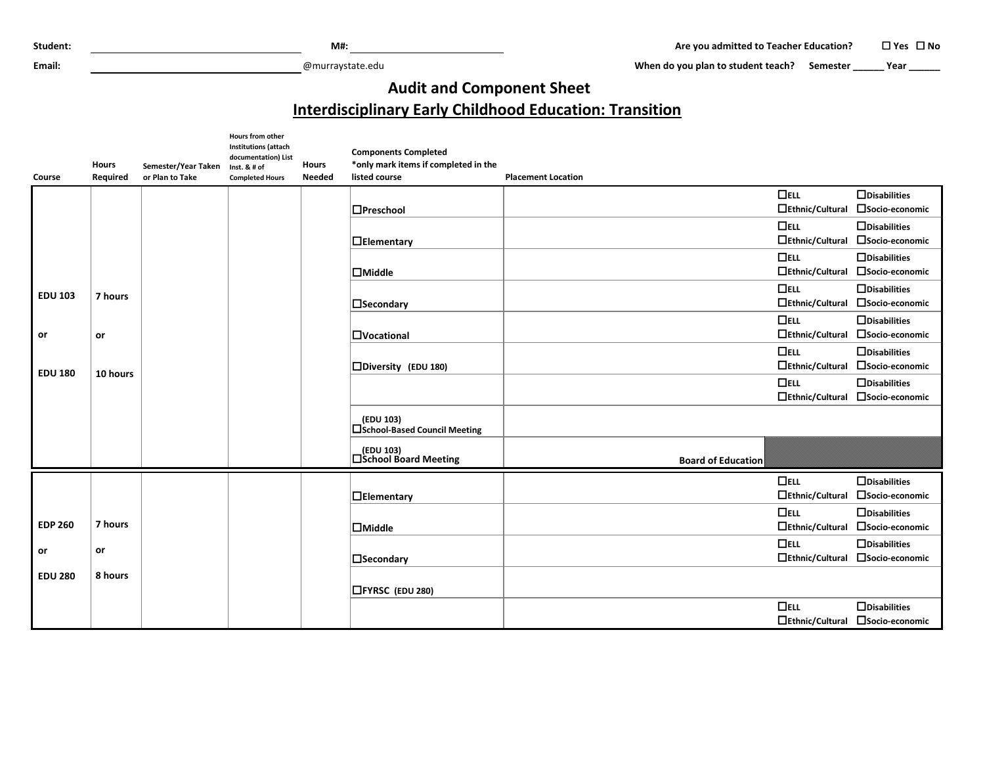**Email:** @murraystate.edu

When do you plan to student teach? Semester **\_\_\_\_\_** Year **\_\_\_\_\_** 

## **Audit and Component Sheet**

## **Interdisciplinary Early Childhood Education: Transition**

|                | <b>Hours</b> | Semester/Year Taken | Hours from other<br><b>Institutions (attach</b><br>documentation) List<br>Inst. & # of | <b>Hours</b>  | <b>Components Completed</b><br>*only mark items if completed in the |                           |                        |                                  |
|----------------|--------------|---------------------|----------------------------------------------------------------------------------------|---------------|---------------------------------------------------------------------|---------------------------|------------------------|----------------------------------|
| Course         | Required     | or Plan to Take     | <b>Completed Hours</b>                                                                 | <b>Needed</b> | listed course                                                       | <b>Placement Location</b> |                        |                                  |
|                |              |                     |                                                                                        |               |                                                                     |                           | $\Box$ ELL             | $\Box$ Disabilities              |
|                |              |                     |                                                                                        |               | $\Box$ Preschool                                                    |                           | $\Box$ Ethnic/Cultural | □Socio-economic                  |
|                |              |                     |                                                                                        |               |                                                                     |                           | $\Box$ ELL             | $\Box$ Disabilities              |
|                |              |                     |                                                                                        |               | $\Box$ Elementary                                                   |                           | $\Box$ Ethnic/Cultural | □Socio-economic                  |
|                |              |                     |                                                                                        |               |                                                                     |                           | $\Box$ ELL             | $\Box$ Disabilities              |
|                |              |                     |                                                                                        |               | $\Box$ Middle                                                       |                           | $\Box$ Ethnic/Cultural | □Socio-economic                  |
|                |              |                     |                                                                                        |               |                                                                     |                           | $\Box$ ELL             | $\Box$ Disabilities              |
| <b>EDU 103</b> | 7 hours      |                     |                                                                                        |               | $\Box$ Secondary                                                    |                           | $\Box$ Ethnic/Cultural | □ Socio-economic                 |
|                |              |                     |                                                                                        |               |                                                                     |                           | $\Box$ ELL             | $\Box$ Disabilities              |
| or             | or           |                     |                                                                                        |               | <b>OVocational</b>                                                  |                           | $\Box$ Ethnic/Cultural | □Socio-economic                  |
|                |              |                     |                                                                                        |               |                                                                     |                           | $\Box$ ELL             | $\Box$ Disabilities              |
|                |              |                     |                                                                                        |               | □Diversity (EDU 180)                                                |                           |                        | □Ethnic/Cultural □Socio-economic |
| <b>EDU 180</b> | 10 hours     |                     |                                                                                        |               |                                                                     |                           | $\Box$ ELL             | $\Box$ Disabilities              |
|                |              |                     |                                                                                        |               |                                                                     |                           | $\Box$ Ethnic/Cultural | □Socio-economic                  |
|                |              |                     |                                                                                        |               | (EDU 103)<br>□School-Based Council Meeting                          |                           |                        |                                  |
|                |              |                     |                                                                                        |               | │ (EDU 103)<br>│ △School Board Meeting                              | <b>Board of Education</b> |                        |                                  |
|                |              |                     |                                                                                        |               |                                                                     |                           | $\Box$ ELL             | $\Box$ Disabilities              |
|                |              |                     |                                                                                        |               | $\Box$ Elementary                                                   |                           | $\Box$ Ethnic/Cultural | □Socio-economic                  |
|                |              |                     |                                                                                        |               |                                                                     |                           | $\Box$ ELL             | $\Box$ Disabilities              |
| <b>EDP 260</b> | 7 hours      |                     |                                                                                        |               | $\Box$ Middle                                                       |                           | $\Box$ Ethnic/Cultural | □Socio-economic                  |
|                |              |                     |                                                                                        |               |                                                                     |                           | $\Box$ ELL             | $\Box$ Disabilities              |
| or             | or           |                     |                                                                                        |               | <b>N</b> Secondary                                                  |                           | $\Box$ Ethnic/Cultural | □ Socio-economic                 |
| <b>EDU 280</b> | 8 hours      |                     |                                                                                        |               | <b>□FYRSC</b> (EDU 280)                                             |                           |                        |                                  |
|                |              |                     |                                                                                        |               |                                                                     |                           | $\Box$ ELL             | $\Box$ Disabilities              |
|                |              |                     |                                                                                        |               |                                                                     |                           |                        | □Ethnic/Cultural □Socio-economic |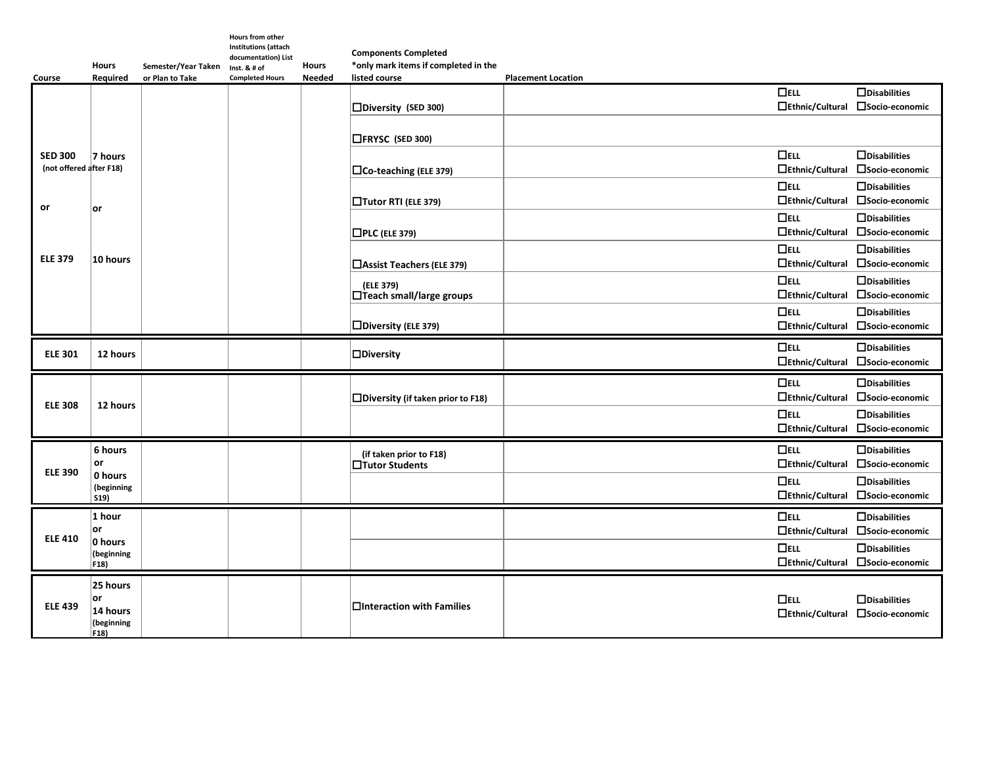| Course                  | <b>Hours</b><br>Required                      | Semester/Year Taken<br>or Plan to Take | <b>Hours from other</b><br>Institutions (attach<br>documentation) List<br>Inst. & # of<br><b>Completed Hours</b> | <b>Hours</b><br><b>Needed</b> | <b>Components Completed</b><br>*only mark items if completed in the<br>listed course | <b>Placement Location</b>      |                                                         |
|-------------------------|-----------------------------------------------|----------------------------------------|------------------------------------------------------------------------------------------------------------------|-------------------------------|--------------------------------------------------------------------------------------|--------------------------------|---------------------------------------------------------|
|                         |                                               |                                        |                                                                                                                  |                               |                                                                                      | $\Box$ ELL                     | $\Box$ Disabilities                                     |
|                         |                                               |                                        |                                                                                                                  |                               | □Diversity (SED 300)                                                                 | $\Box$ Ethnic/Cultural         | □Socio-economic                                         |
|                         | 7 hours                                       |                                        |                                                                                                                  |                               | □FRYSC (SED 300)                                                                     |                                |                                                         |
| <b>SED 300</b>          |                                               |                                        |                                                                                                                  |                               |                                                                                      | $\Box$ ELL                     | $\Box$ Disabilities                                     |
| (not offered after F18) |                                               |                                        |                                                                                                                  |                               | $\Box$ Co-teaching (ELE 379)                                                         | $\Box$ Ethnic/Cultural         | □Socio-economic                                         |
|                         |                                               |                                        |                                                                                                                  |                               |                                                                                      | $\Box$ ELL                     | $\Box$ Disabilities                                     |
| or                      |                                               |                                        |                                                                                                                  |                               | □Tutor RTI (ELE 379)                                                                 | $\Box$ Ethnic/Cultural         | □ Socio-economic                                        |
|                         | ∣or                                           |                                        |                                                                                                                  |                               |                                                                                      | $\Box$ ELL                     | $\Box$ Disabilities                                     |
|                         |                                               |                                        |                                                                                                                  |                               | $\Box$ PLC (ELE 379)                                                                 | $\Box$ Ethnic/Cultural         | □ Socio-economic                                        |
|                         |                                               |                                        |                                                                                                                  |                               |                                                                                      | $\Box$ ELL                     | $\Box$ Disabilities                                     |
| <b>ELE 379</b>          | 10 hours                                      |                                        |                                                                                                                  |                               | □Assist Teachers (ELE 379)                                                           | $\Box$ Ethnic/Cultural         | □Socio-economic                                         |
|                         |                                               |                                        |                                                                                                                  |                               |                                                                                      | $\Box$ ELL                     | $\Box$ Disabilities                                     |
|                         |                                               |                                        |                                                                                                                  |                               | (ELE 379)<br>$\Box$ Teach small/large groups                                         | $\Box$ Ethnic/Cultural         | □ Socio-economic                                        |
|                         |                                               |                                        |                                                                                                                  |                               |                                                                                      | $\Box$ ELL                     | $\Box$ Disabilities                                     |
|                         |                                               |                                        |                                                                                                                  |                               | $\square$ Diversity (ELE 379)                                                        | $\Box$ Ethnic/Cultural         | □Socio-economic                                         |
|                         |                                               |                                        |                                                                                                                  |                               |                                                                                      | $\Box$ ELL                     | $\Box$ Disabilities                                     |
| <b>ELE 301</b>          | 12 hours                                      |                                        |                                                                                                                  |                               | $\Box$ Diversity                                                                     | $\Box$ Ethnic/Cultural         | □Socio-economic                                         |
|                         |                                               |                                        |                                                                                                                  |                               |                                                                                      |                                |                                                         |
|                         | 12 hours                                      |                                        |                                                                                                                  |                               |                                                                                      | $\Box$ ELL                     | $\Box$ Disabilities                                     |
| <b>ELE 308</b>          |                                               |                                        |                                                                                                                  |                               | $\square$ Diversity (if taken prior to F18)                                          | □Ethnic/Cultural               | □Socio-economic                                         |
|                         |                                               |                                        |                                                                                                                  |                               |                                                                                      | $\Box$ ELL                     | $\Box$ Disabilities                                     |
|                         |                                               |                                        |                                                                                                                  |                               |                                                                                      |                                | □Ethnic/Cultural □Socio-economic                        |
|                         | 6 hours<br>or<br>0 hours<br>(beginning<br>S19 |                                        |                                                                                                                  |                               | (if taken prior to F18)                                                              | $\Box$ ELL                     | $\Box$ Disabilities                                     |
| <b>ELE 390</b>          |                                               |                                        |                                                                                                                  |                               | □Tutor Students                                                                      |                                | □Ethnic/Cultural □Socio-economic                        |
|                         |                                               |                                        |                                                                                                                  |                               |                                                                                      | $\Box$ ELL                     | $\Box$ Disabilities                                     |
|                         |                                               |                                        |                                                                                                                  |                               |                                                                                      |                                | □Ethnic/Cultural □Socio-economic                        |
|                         |                                               |                                        |                                                                                                                  |                               |                                                                                      |                                |                                                         |
|                         | $1$ hour                                      |                                        |                                                                                                                  |                               |                                                                                      |                                |                                                         |
|                         | ∣or                                           |                                        |                                                                                                                  |                               |                                                                                      | $\Box$ ELL<br>□Ethnic/Cultural | $\Box$ Disabilities<br>□Socio-economic                  |
| <b>ELE 410</b>          | 0 hours                                       |                                        |                                                                                                                  |                               |                                                                                      |                                |                                                         |
|                         | (beginning                                    |                                        |                                                                                                                  |                               |                                                                                      | $\Box$ ELL                     | $\Box$ Disabilities<br>□Ethnic/Cultural □Socio-economic |
|                         | F18)                                          |                                        |                                                                                                                  |                               |                                                                                      |                                |                                                         |
|                         | 25 hours                                      |                                        |                                                                                                                  |                               |                                                                                      |                                |                                                         |
| <b>ELE 439</b>          | or <br>14 hours                               |                                        |                                                                                                                  |                               | □Interaction with Families                                                           | $\Box$ ELL                     | $\Box$ Disabilities                                     |
|                         | (beginning<br>$ F18\rangle$                   |                                        |                                                                                                                  |                               |                                                                                      |                                | □Ethnic/Cultural □Socio-economic                        |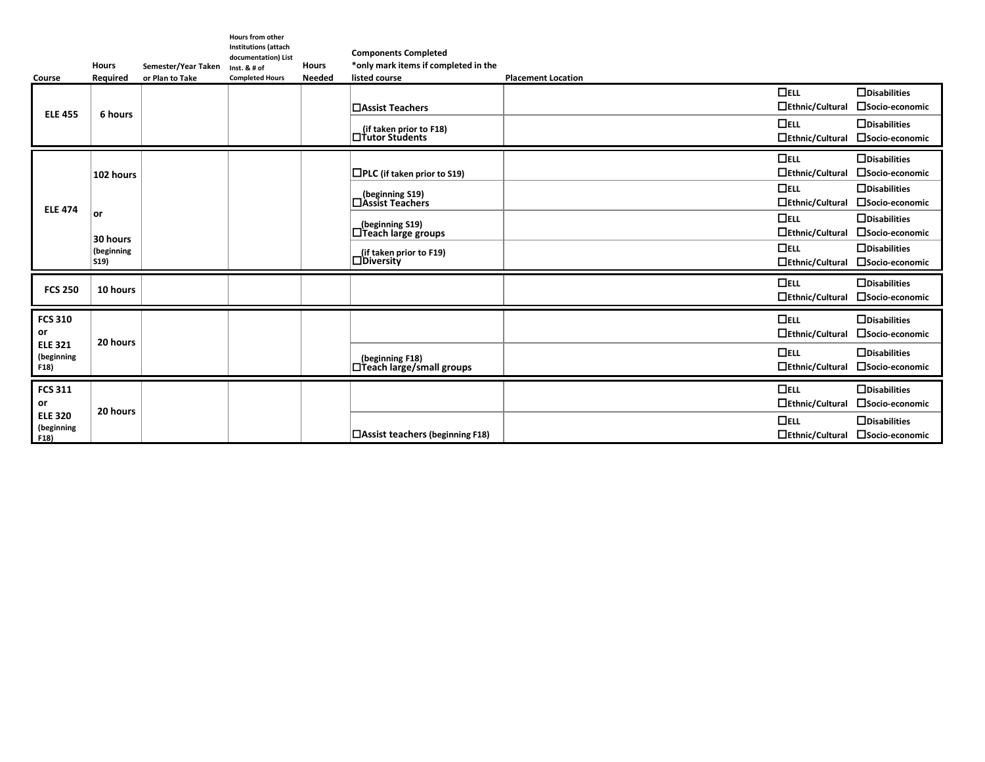| Course                               | <b>Hours</b><br>Required | Semester/Year Taken<br>or Plan to Take | <b>Hours from other</b><br><b>Institutions (attach</b><br>documentation) List<br>Inst. $8# of$<br><b>Completed Hours</b> | <b>Hours</b><br><b>Needed</b> | <b>Components Completed</b><br>*only mark items if completed in the<br>listed course | <b>Placement Location</b>            |                                                         |
|--------------------------------------|--------------------------|----------------------------------------|--------------------------------------------------------------------------------------------------------------------------|-------------------------------|--------------------------------------------------------------------------------------|--------------------------------------|---------------------------------------------------------|
| <b>ELE 455</b>                       | 6 hours                  |                                        |                                                                                                                          |                               | <b>□Assist Teachers</b>                                                              | $\Box$ ELL<br>□Ethnic/Cultural       | $\Box$ Disabilities<br>□Socio-economic                  |
|                                      |                          |                                        |                                                                                                                          |                               | (if taken prior to F18)<br>□ Tutor Students                                          | $\Box$ ELL<br>□Ethnic/Cultural       | $\Box$ Disabilities<br>□Socio-economic                  |
|                                      | 102 hours                |                                        |                                                                                                                          |                               | $\Box$ PLC (if taken prior to S19)                                                   | $\Box$ ELL<br>□Ethnic/Cultural       | $\Box$ Disabilities<br>□Socio-economic                  |
| <b>ELE 474</b>                       |                          |                                        |                                                                                                                          |                               | (beginning S19)<br>□Assist Teachers                                                  | $\Box$ ELL<br>$\Box$ Ethnic/Cultural | $\Box$ Disabilities<br>□Socio-economic                  |
|                                      | or<br>30 hours           |                                        |                                                                                                                          |                               | (beginning S19)<br>$\Box$ Teach large groups                                         | $\Box$ ELL<br>□Ethnic/Cultural       | $\Box$ Disabilities<br>□Socio-economic                  |
|                                      | (beginning<br>S19        |                                        |                                                                                                                          |                               | (if taken prior to F19)<br>$\Box$ Diversity                                          | $\Box$ ELL<br>□Ethnic/Cultural       | $\Box$ Disabilities<br>□Socio-economic                  |
| <b>FCS 250</b>                       | 10 hours                 |                                        |                                                                                                                          |                               |                                                                                      | $\Box$ ELL<br>□Ethnic/Cultural       | $\Box$ Disabilities<br>□Socio-economic                  |
| <b>FCS 310</b><br>or                 | 20 hours                 |                                        |                                                                                                                          |                               |                                                                                      | $\Box$ ELL<br>$\Box$ Ethnic/Cultural | $\Box$ Disabilities<br>□Socio-economic                  |
| <b>ELE 321</b><br>(beginning<br>F18) |                          |                                        |                                                                                                                          |                               | (beginning F18)<br>$\Box$ Teach large/small groups                                   | $\Box$ ELL<br>□Ethnic/Cultural       | $\Box$ Disabilities<br>□ Socio-economic                 |
| <b>FCS 311</b><br>or                 |                          |                                        |                                                                                                                          |                               |                                                                                      | $\Box$ ELL<br>□Ethnic/Cultural       | $\Box$ Disabilities<br>□ Socio-economic                 |
| <b>ELE 320</b><br>(beginning<br>F18) | 20 hours                 |                                        |                                                                                                                          |                               | □ Assist teachers (beginning F18)                                                    | $\Box$ ELL                           | $\Box$ Disabilities<br>□Ethnic/Cultural □Socio-economic |